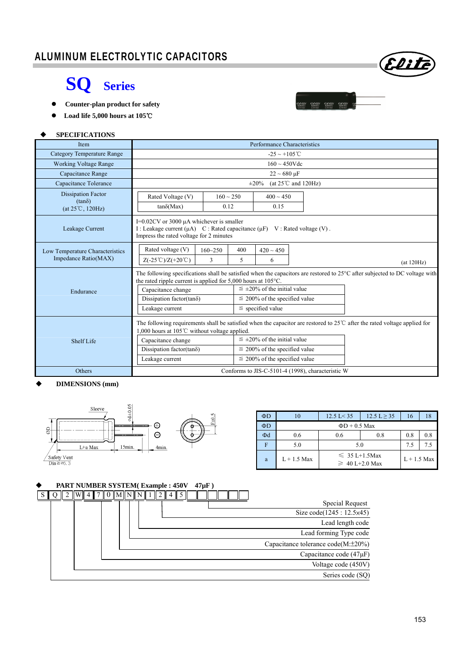

# **SQ Series**

- **Counter-plan product for safety**
- **Load life 5,000 hours at 105**℃

#### **SPECIFICATIONS**

| <b>Item</b>                                             | Performance Characteristics                                                                                                                                                                                                                                                                                                                                                                    |                                                  |  |            |  |  |  |
|---------------------------------------------------------|------------------------------------------------------------------------------------------------------------------------------------------------------------------------------------------------------------------------------------------------------------------------------------------------------------------------------------------------------------------------------------------------|--------------------------------------------------|--|------------|--|--|--|
| <b>Category Temperature Range</b>                       | $-25 \sim +105^{\circ}$ C                                                                                                                                                                                                                                                                                                                                                                      |                                                  |  |            |  |  |  |
| <b>Working Voltage Range</b>                            |                                                                                                                                                                                                                                                                                                                                                                                                | $160 \sim 450$ Vdc                               |  |            |  |  |  |
| Capacitance Range                                       |                                                                                                                                                                                                                                                                                                                                                                                                | $22 \sim 680 \,\mu F$                            |  |            |  |  |  |
| Capacitance Tolerance                                   |                                                                                                                                                                                                                                                                                                                                                                                                | (at $25^{\circ}$ C and $120$ Hz)<br>$\pm 20\%$   |  |            |  |  |  |
| Dissipation Factor<br>$(tan\delta)$<br>(at 25°C, 120Hz) | Rated Voltage (V)<br>$tan\delta(Max)$                                                                                                                                                                                                                                                                                                                                                          | $160 \sim 250$<br>$400 \sim 450$<br>0.12<br>0.15 |  |            |  |  |  |
| Leakage Current                                         | I= $0.02CV$ or 3000 $\mu$ A whichever is smaller<br>I: Leakage current $(\mu A)$ C: Rated capacitance $(\mu F)$ V: Rated voltage (V).<br>Impress the rated voltage for 2 minutes                                                                                                                                                                                                               |                                                  |  |            |  |  |  |
| Low Temperature Characteristics<br>Impedance Ratio(MAX) | Rated voltage (V)<br>$160 - 250$<br>3<br>$Z(-25^{\circ}\text{C})/Z(+20^{\circ}\text{C})$                                                                                                                                                                                                                                                                                                       | $420 \sim 450$<br>400<br>5<br>6                  |  | (at 120Hz) |  |  |  |
| Endurance                                               | The following specifications shall be satisfied when the capacitors are restored to $25^{\circ}$ C after subjected to DC voltage with<br>the rated ripple current is applied for 5,000 hours at 105°C.<br>$\leq \pm 20\%$ of the initial value<br>Capacitance change<br>Dissipation factor(tan $\delta$ )<br>$\leq$ 200% of the specified value<br>$\le$ specified value<br>Leakage current    |                                                  |  |            |  |  |  |
| Shelf Life                                              | The following requirements shall be satisfied when the capacitor are restored to $25^{\circ}$ after the rated voltage applied for<br>1,000 hours at 105 $\degree$ C without voltage applied.<br>$\leq \pm 20\%$ of the initial value<br>Capacitance change<br>Dissipation factor(tan $\delta$ )<br>$\leq$ 200% of the specified value<br>$\leq$ 200% of the specified value<br>Leakage current |                                                  |  |            |  |  |  |
| Others                                                  | Conforms to JIS-C-5101-4 (1998), characteristic W                                                                                                                                                                                                                                                                                                                                              |                                                  |  |            |  |  |  |

# **DIMENSIONS (mm)**



| ΦD       |               | $12.5 \text{ L} < 35$                      | $12.5 L \ge 35$ | 16          | 18  |  |  |
|----------|---------------|--------------------------------------------|-----------------|-------------|-----|--|--|
| ΦD       |               | $\Phi$ D + 0.5 Max                         |                 |             |     |  |  |
| $\Phi$ d | 0.6           | 0.8<br>0.6                                 |                 | 0.8         | 0.8 |  |  |
|          | 5.0           | 5.0                                        | 75              | 7.5         |     |  |  |
| a        | $L + 1.5$ Max | $\leq 35 L+1.5$ Max<br>$\geq 40$ L+2.0 Max |                 | $L+1.5$ Max |     |  |  |

#### **PART NUMBER SYSTEM( Example : 450V 47µF )**